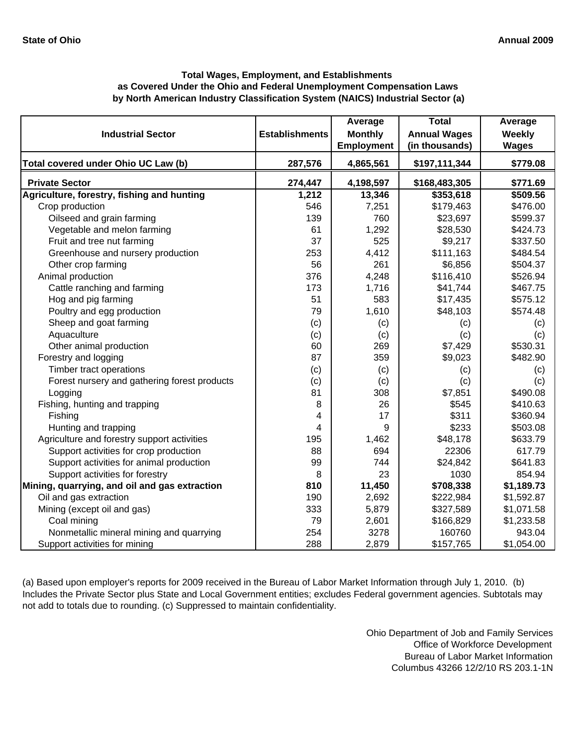# **by North American Industry Classification System (NAICS) Industrial Sector (a) Total Wages, Employment, and Establishments as Covered Under the Ohio and Federal Unemployment Compensation Laws**

| <b>Industrial Sector</b>                      | <b>Establishments</b> | Average<br><b>Monthly</b> | <b>Total</b><br><b>Annual Wages</b> | Average<br>Weekly |
|-----------------------------------------------|-----------------------|---------------------------|-------------------------------------|-------------------|
|                                               |                       | <b>Employment</b>         | (in thousands)                      | <b>Wages</b>      |
| Total covered under Ohio UC Law (b)           | 287,576               | 4,865,561                 | \$197,111,344                       | \$779.08          |
| <b>Private Sector</b>                         | 274,447               | 4,198,597                 | \$168,483,305                       | \$771.69          |
| Agriculture, forestry, fishing and hunting    | 1,212                 | 13,346                    | \$353,618                           | \$509.56          |
| Crop production                               | 546                   | 7,251                     | \$179,463                           | \$476.00          |
| Oilseed and grain farming                     | 139                   | 760                       | \$23,697                            | \$599.37          |
| Vegetable and melon farming                   | 61                    | 1,292                     | \$28,530                            | \$424.73          |
| Fruit and tree nut farming                    | 37                    | 525                       | \$9,217                             | \$337.50          |
| Greenhouse and nursery production             | 253                   | 4,412                     | \$111,163                           | \$484.54          |
| Other crop farming                            | 56                    | 261                       | \$6,856                             | \$504.37          |
| Animal production                             | 376                   | 4,248                     | \$116,410                           | \$526.94          |
| Cattle ranching and farming                   | 173                   | 1,716                     | \$41,744                            | \$467.75          |
| Hog and pig farming                           | 51                    | 583                       | \$17,435                            | \$575.12          |
| Poultry and egg production                    | 79                    | 1,610                     | \$48,103                            | \$574.48          |
| Sheep and goat farming                        | (c)                   | (c)                       | (c)                                 | (c)               |
| Aquaculture                                   | (c)                   | (c)                       | (c)                                 | (c)               |
| Other animal production                       | 60                    | 269                       | \$7,429                             | \$530.31          |
| Forestry and logging                          | 87                    | 359                       | \$9,023                             | \$482.90          |
| Timber tract operations                       | (c)                   | (c)                       | (c)                                 | (c)               |
| Forest nursery and gathering forest products  | (c)                   | (c)                       | (c)                                 | (c)               |
| Logging                                       | 81                    | 308                       | \$7,851                             | \$490.08          |
| Fishing, hunting and trapping                 | 8                     | 26                        | \$545                               | \$410.63          |
| Fishing                                       | 4                     | 17                        | \$311                               | \$360.94          |
| Hunting and trapping                          | 4                     | 9                         | \$233                               | \$503.08          |
| Agriculture and forestry support activities   | 195                   | 1,462                     | \$48,178                            | \$633.79          |
| Support activities for crop production        | 88                    | 694                       | 22306                               | 617.79            |
| Support activities for animal production      | 99                    | 744                       | \$24,842                            | \$641.83          |
| Support activities for forestry               | 8                     | 23                        | 1030                                | 854.94            |
| Mining, quarrying, and oil and gas extraction | 810                   | 11,450                    | \$708,338                           | \$1,189.73        |
| Oil and gas extraction                        | 190                   | 2,692                     | \$222,984                           | \$1,592.87        |
| Mining (except oil and gas)                   | 333                   | 5,879                     | \$327,589                           | \$1,071.58        |
| Coal mining                                   | 79                    | 2,601                     | \$166,829                           | \$1,233.58        |
| Nonmetallic mineral mining and quarrying      | 254                   | 3278                      | 160760                              | 943.04            |
| Support activities for mining                 | 288                   | 2,879                     | \$157,765                           | \$1,054.00        |

(a) Based upon employer's reports for 2009 received in the Bureau of Labor Market Information through July 1, 2010. (b) Includes the Private Sector plus State and Local Government entities; excludes Federal government agencies. Subtotals may not add to totals due to rounding. (c) Suppressed to maintain confidentiality.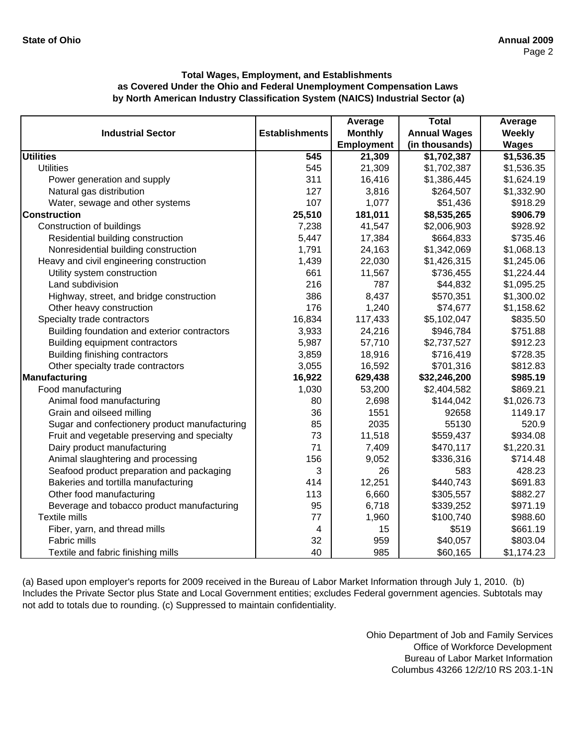|                                               |                       | Average        | <b>Total</b>        | Average      |
|-----------------------------------------------|-----------------------|----------------|---------------------|--------------|
| <b>Industrial Sector</b>                      | <b>Establishments</b> | <b>Monthly</b> | <b>Annual Wages</b> | Weekly       |
|                                               |                       | Employment     | (in thousands)      | <b>Wages</b> |
| <b>Utilities</b>                              | 545                   | 21,309         | \$1,702,387         | \$1,536.35   |
| <b>Utilities</b>                              | 545                   | 21,309         | \$1,702,387         | \$1,536.35   |
| Power generation and supply                   | 311                   | 16,416         | \$1,386,445         | \$1,624.19   |
| Natural gas distribution                      | 127                   | 3,816          | \$264,507           | \$1,332.90   |
| Water, sewage and other systems               | 107                   | 1,077          | \$51,436            | \$918.29     |
| <b>Construction</b>                           | 25,510                | 181,011        | \$8,535,265         | \$906.79     |
| Construction of buildings                     | 7,238                 | 41,547         | \$2,006,903         | \$928.92     |
| Residential building construction             | 5,447                 | 17,384         | \$664,833           | \$735.46     |
| Nonresidential building construction          | 1,791                 | 24,163         | \$1,342,069         | \$1,068.13   |
| Heavy and civil engineering construction      | 1,439                 | 22,030         | \$1,426,315         | \$1,245.06   |
| Utility system construction                   | 661                   | 11,567         | \$736,455           | \$1,224.44   |
| Land subdivision                              | 216                   | 787            | \$44,832            | \$1,095.25   |
| Highway, street, and bridge construction      | 386                   | 8,437          | \$570,351           | \$1,300.02   |
| Other heavy construction                      | 176                   | 1,240          | \$74,677            | \$1,158.62   |
| Specialty trade contractors                   | 16,834                | 117,433        | \$5,102,047         | \$835.50     |
| Building foundation and exterior contractors  | 3,933                 | 24,216         | \$946,784           | \$751.88     |
| Building equipment contractors                | 5,987                 | 57,710         | \$2,737,527         | \$912.23     |
| Building finishing contractors                | 3,859                 | 18,916         | \$716,419           | \$728.35     |
| Other specialty trade contractors             | 3,055                 | 16,592         | \$701,316           | \$812.83     |
| Manufacturing                                 | 16,922                | 629,438        | \$32,246,200        | \$985.19     |
| Food manufacturing                            | 1,030                 | 53,200         | \$2,404,582         | \$869.21     |
| Animal food manufacturing                     | 80                    | 2,698          | \$144,042           | \$1,026.73   |
| Grain and oilseed milling                     | 36                    | 1551           | 92658               | 1149.17      |
| Sugar and confectionery product manufacturing | 85                    | 2035           | 55130               | 520.9        |
| Fruit and vegetable preserving and specialty  | 73                    | 11,518         | \$559,437           | \$934.08     |
| Dairy product manufacturing                   | 71                    | 7,409          | \$470,117           | \$1,220.31   |
| Animal slaughtering and processing            | 156                   | 9,052          | \$336,316           | \$714.48     |
| Seafood product preparation and packaging     | 3                     | 26             | 583                 | 428.23       |
| Bakeries and tortilla manufacturing           | 414                   | 12,251         | \$440,743           | \$691.83     |
| Other food manufacturing                      | 113                   | 6,660          | \$305,557           | \$882.27     |
| Beverage and tobacco product manufacturing    | 95                    | 6,718          | \$339,252           | \$971.19     |
| Textile mills                                 | 77                    | 1,960          | \$100,740           | \$988.60     |
| Fiber, yarn, and thread mills                 | 4                     | 15             | \$519               | \$661.19     |
| Fabric mills                                  | 32                    | 959            | \$40,057            | \$803.04     |
| Textile and fabric finishing mills            | 40                    | 985            | \$60,165            | \$1,174.23   |

(a) Based upon employer's reports for 2009 received in the Bureau of Labor Market Information through July 1, 2010. (b) Includes the Private Sector plus State and Local Government entities; excludes Federal government agencies. Subtotals may not add to totals due to rounding. (c) Suppressed to maintain confidentiality.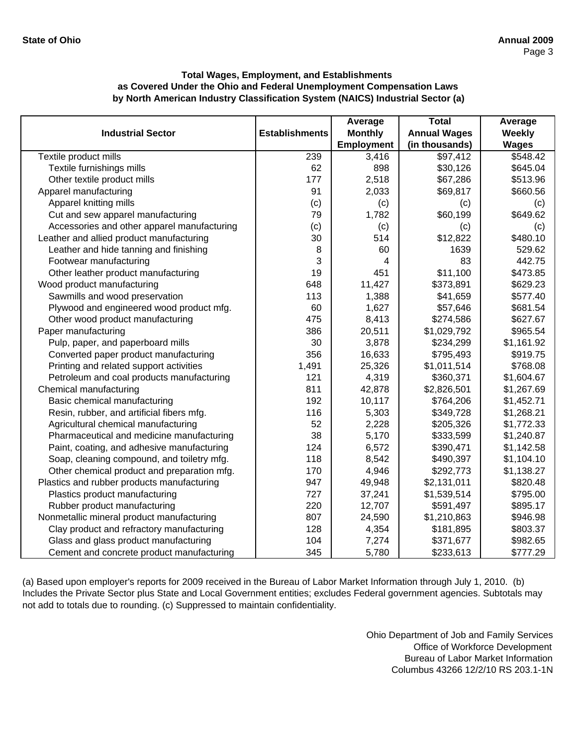|                                             |                       | Average           | <b>Total</b>        | Average      |
|---------------------------------------------|-----------------------|-------------------|---------------------|--------------|
| <b>Industrial Sector</b>                    | <b>Establishments</b> | <b>Monthly</b>    | <b>Annual Wages</b> | Weekly       |
|                                             |                       | <b>Employment</b> | (in thousands)      | <b>Wages</b> |
| Textile product mills                       | 239                   | 3,416             | \$97,412            | \$548.42     |
| Textile furnishings mills                   | 62                    | 898               | \$30,126            | \$645.04     |
| Other textile product mills                 | 177                   | 2,518             | \$67,286            | \$513.96     |
| Apparel manufacturing                       | 91                    | 2,033             | \$69,817            | \$660.56     |
| Apparel knitting mills                      | (c)                   | (c)               | (c)                 | (c)          |
| Cut and sew apparel manufacturing           | 79                    | 1,782             | \$60,199            | \$649.62     |
| Accessories and other apparel manufacturing | (c)                   | (c)               | (c)                 | (c)          |
| Leather and allied product manufacturing    | 30                    | 514               | \$12,822            | \$480.10     |
| Leather and hide tanning and finishing      | 8                     | 60                | 1639                | 529.62       |
| Footwear manufacturing                      | 3                     | 4                 | 83                  | 442.75       |
| Other leather product manufacturing         | 19                    | 451               | \$11,100            | \$473.85     |
| Wood product manufacturing                  | 648                   | 11,427            | \$373,891           | \$629.23     |
| Sawmills and wood preservation              | 113                   | 1,388             | \$41,659            | \$577.40     |
| Plywood and engineered wood product mfg.    | 60                    | 1,627             | \$57,646            | \$681.54     |
| Other wood product manufacturing            | 475                   | 8,413             | \$274,586           | \$627.67     |
| Paper manufacturing                         | 386                   | 20,511            | \$1,029,792         | \$965.54     |
| Pulp, paper, and paperboard mills           | 30                    | 3,878             | \$234,299           | \$1,161.92   |
| Converted paper product manufacturing       | 356                   | 16,633            | \$795,493           | \$919.75     |
| Printing and related support activities     | 1,491                 | 25,326            | \$1,011,514         | \$768.08     |
| Petroleum and coal products manufacturing   | 121                   | 4,319             | \$360,371           | \$1,604.67   |
| Chemical manufacturing                      | 811                   | 42,878            | \$2,826,501         | \$1,267.69   |
| Basic chemical manufacturing                | 192                   | 10,117            | \$764,206           | \$1,452.71   |
| Resin, rubber, and artificial fibers mfg.   | 116                   | 5,303             | \$349,728           | \$1,268.21   |
| Agricultural chemical manufacturing         | 52                    | 2,228             | \$205,326           | \$1,772.33   |
| Pharmaceutical and medicine manufacturing   | 38                    | 5,170             | \$333,599           | \$1,240.87   |
| Paint, coating, and adhesive manufacturing  | 124                   | 6,572             | \$390,471           | \$1,142.58   |
| Soap, cleaning compound, and toiletry mfg.  | 118                   | 8,542             | \$490,397           | \$1,104.10   |
| Other chemical product and preparation mfg. | 170                   | 4,946             | \$292,773           | \$1,138.27   |
| Plastics and rubber products manufacturing  | 947                   | 49,948            | \$2,131,011         | \$820.48     |
| Plastics product manufacturing              | 727                   | 37,241            | \$1,539,514         | \$795.00     |
| Rubber product manufacturing                | 220                   | 12,707            | \$591,497           | \$895.17     |
| Nonmetallic mineral product manufacturing   | 807                   | 24,590            | \$1,210,863         | \$946.98     |
| Clay product and refractory manufacturing   | 128                   | 4,354             | \$181,895           | \$803.37     |
| Glass and glass product manufacturing       | 104                   | 7,274             | \$371,677           | \$982.65     |
| Cement and concrete product manufacturing   | 345                   | 5,780             | \$233,613           | \$777.29     |

(a) Based upon employer's reports for 2009 received in the Bureau of Labor Market Information through July 1, 2010. (b) Includes the Private Sector plus State and Local Government entities; excludes Federal government agencies. Subtotals may not add to totals due to rounding. (c) Suppressed to maintain confidentiality.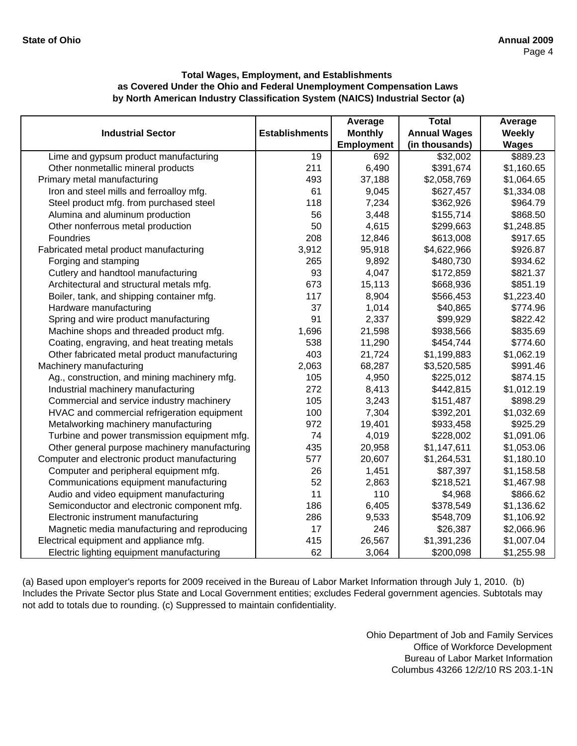|                                               |                       | Average        | <b>Total</b>        | Average       |
|-----------------------------------------------|-----------------------|----------------|---------------------|---------------|
| <b>Industrial Sector</b>                      | <b>Establishments</b> | <b>Monthly</b> | <b>Annual Wages</b> | <b>Weekly</b> |
|                                               |                       | Employment     | (in thousands)      | <b>Wages</b>  |
| Lime and gypsum product manufacturing         | 19                    | 692            | \$32,002            | \$889.23      |
| Other nonmetallic mineral products            | 211                   | 6,490          | \$391,674           | \$1,160.65    |
| Primary metal manufacturing                   | 493                   | 37,188         | \$2,058,769         | \$1,064.65    |
| Iron and steel mills and ferroalloy mfg.      | 61                    | 9,045          | \$627,457           | \$1,334.08    |
| Steel product mfg. from purchased steel       | 118                   | 7,234          | \$362,926           | \$964.79      |
| Alumina and aluminum production               | 56                    | 3,448          | \$155,714           | \$868.50      |
| Other nonferrous metal production             | 50                    | 4,615          | \$299,663           | \$1,248.85    |
| Foundries                                     | 208                   | 12,846         | \$613,008           | \$917.65      |
| Fabricated metal product manufacturing        | 3,912                 | 95,918         | \$4,622,966         | \$926.87      |
| Forging and stamping                          | 265                   | 9,892          | \$480,730           | \$934.62      |
| Cutlery and handtool manufacturing            | 93                    | 4,047          | \$172,859           | \$821.37      |
| Architectural and structural metals mfg.      | 673                   | 15,113         | \$668,936           | \$851.19      |
| Boiler, tank, and shipping container mfg.     | 117                   | 8,904          | \$566,453           | \$1,223.40    |
| Hardware manufacturing                        | 37                    | 1,014          | \$40,865            | \$774.96      |
| Spring and wire product manufacturing         | 91                    | 2,337          | \$99,929            | \$822.42      |
| Machine shops and threaded product mfg.       | 1,696                 | 21,598         | \$938,566           | \$835.69      |
| Coating, engraving, and heat treating metals  | 538                   | 11,290         | \$454,744           | \$774.60      |
| Other fabricated metal product manufacturing  | 403                   | 21,724         | \$1,199,883         | \$1,062.19    |
| Machinery manufacturing                       | 2,063                 | 68,287         | \$3,520,585         | \$991.46      |
| Ag., construction, and mining machinery mfg.  | 105                   | 4,950          | \$225,012           | \$874.15      |
| Industrial machinery manufacturing            | 272                   | 8,413          | \$442,815           | \$1,012.19    |
| Commercial and service industry machinery     | 105                   | 3,243          | \$151,487           | \$898.29      |
| HVAC and commercial refrigeration equipment   | 100                   | 7,304          | \$392,201           | \$1,032.69    |
| Metalworking machinery manufacturing          | 972                   | 19,401         | \$933,458           | \$925.29      |
| Turbine and power transmission equipment mfg. | 74                    | 4,019          | \$228,002           | \$1,091.06    |
| Other general purpose machinery manufacturing | 435                   | 20,958         | \$1,147,611         | \$1,053.06    |
| Computer and electronic product manufacturing | 577                   | 20,607         | \$1,264,531         | \$1,180.10    |
| Computer and peripheral equipment mfg.        | 26                    | 1,451          | \$87,397            | \$1,158.58    |
| Communications equipment manufacturing        | 52                    | 2,863          | \$218,521           | \$1,467.98    |
| Audio and video equipment manufacturing       | 11                    | 110            | \$4,968             | \$866.62      |
| Semiconductor and electronic component mfg.   | 186                   | 6,405          | \$378,549           | \$1,136.62    |
| Electronic instrument manufacturing           | 286                   | 9,533          | \$548,709           | \$1,106.92    |
| Magnetic media manufacturing and reproducing  | 17                    | 246            | \$26,387            | \$2,066.96    |
| Electrical equipment and appliance mfg.       | 415                   | 26,567         | \$1,391,236         | \$1,007.04    |
| Electric lighting equipment manufacturing     | 62                    | 3,064          | \$200,098           | \$1,255.98    |

(a) Based upon employer's reports for 2009 received in the Bureau of Labor Market Information through July 1, 2010. (b) Includes the Private Sector plus State and Local Government entities; excludes Federal government agencies. Subtotals may not add to totals due to rounding. (c) Suppressed to maintain confidentiality.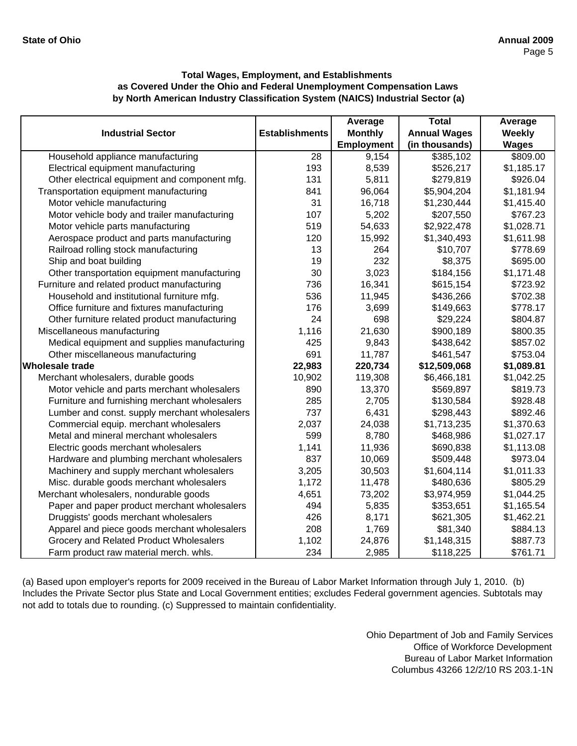|                                               |                       | Average           | <b>Total</b>        | Average      |
|-----------------------------------------------|-----------------------|-------------------|---------------------|--------------|
| <b>Industrial Sector</b>                      | <b>Establishments</b> | <b>Monthly</b>    | <b>Annual Wages</b> | Weekly       |
|                                               |                       | <b>Employment</b> | (in thousands)      | <b>Wages</b> |
| Household appliance manufacturing             | 28                    | 9,154             | \$385,102           | \$809.00     |
| Electrical equipment manufacturing            | 193                   | 8,539             | \$526,217           | \$1,185.17   |
| Other electrical equipment and component mfg. | 131                   | 5,811             | \$279,819           | \$926.04     |
| Transportation equipment manufacturing        | 841                   | 96,064            | \$5,904,204         | \$1,181.94   |
| Motor vehicle manufacturing                   | 31                    | 16,718            | \$1,230,444         | \$1,415.40   |
| Motor vehicle body and trailer manufacturing  | 107                   | 5,202             | \$207,550           | \$767.23     |
| Motor vehicle parts manufacturing             | 519                   | 54,633            | \$2,922,478         | \$1,028.71   |
| Aerospace product and parts manufacturing     | 120                   | 15,992            | \$1,340,493         | \$1,611.98   |
| Railroad rolling stock manufacturing          | 13                    | 264               | \$10,707            | \$778.69     |
| Ship and boat building                        | 19                    | 232               | \$8,375             | \$695.00     |
| Other transportation equipment manufacturing  | 30                    | 3,023             | \$184,156           | \$1,171.48   |
| Furniture and related product manufacturing   | 736                   | 16,341            | \$615,154           | \$723.92     |
| Household and institutional furniture mfg.    | 536                   | 11,945            | \$436,266           | \$702.38     |
| Office furniture and fixtures manufacturing   | 176                   | 3,699             | \$149,663           | \$778.17     |
| Other furniture related product manufacturing | 24                    | 698               | \$29,224            | \$804.87     |
| Miscellaneous manufacturing                   | 1,116                 | 21,630            | \$900,189           | \$800.35     |
| Medical equipment and supplies manufacturing  | 425                   | 9,843             | \$438,642           | \$857.02     |
| Other miscellaneous manufacturing             | 691                   | 11,787            | \$461,547           | \$753.04     |
| <b>Wholesale trade</b>                        | 22,983                | 220,734           | \$12,509,068        | \$1,089.81   |
| Merchant wholesalers, durable goods           | 10,902                | 119,308           | \$6,466,181         | \$1,042.25   |
| Motor vehicle and parts merchant wholesalers  | 890                   | 13,370            | \$569,897           | \$819.73     |
| Furniture and furnishing merchant wholesalers | 285                   | 2,705             | \$130,584           | \$928.48     |
| Lumber and const. supply merchant wholesalers | 737                   | 6,431             | \$298,443           | \$892.46     |
| Commercial equip. merchant wholesalers        | 2,037                 | 24,038            | \$1,713,235         | \$1,370.63   |
| Metal and mineral merchant wholesalers        | 599                   | 8,780             | \$468,986           | \$1,027.17   |
| Electric goods merchant wholesalers           | 1,141                 | 11,936            | \$690,838           | \$1,113.08   |
| Hardware and plumbing merchant wholesalers    | 837                   | 10,069            | \$509,448           | \$973.04     |
| Machinery and supply merchant wholesalers     | 3,205                 | 30,503            | \$1,604,114         | \$1,011.33   |
| Misc. durable goods merchant wholesalers      | 1,172                 | 11,478            | \$480,636           | \$805.29     |
| Merchant wholesalers, nondurable goods        | 4,651                 | 73,202            | \$3,974,959         | \$1,044.25   |
| Paper and paper product merchant wholesalers  | 494                   | 5,835             | \$353,651           | \$1,165.54   |
| Druggists' goods merchant wholesalers         | 426                   | 8,171             | \$621,305           | \$1,462.21   |
| Apparel and piece goods merchant wholesalers  | 208                   | 1,769             | \$81,340            | \$884.13     |
| Grocery and Related Product Wholesalers       | 1,102                 | 24,876            | \$1,148,315         | \$887.73     |
| Farm product raw material merch. whls.        | 234                   | 2,985             | \$118,225           | \$761.71     |

(a) Based upon employer's reports for 2009 received in the Bureau of Labor Market Information through July 1, 2010. (b) Includes the Private Sector plus State and Local Government entities; excludes Federal government agencies. Subtotals may not add to totals due to rounding. (c) Suppressed to maintain confidentiality.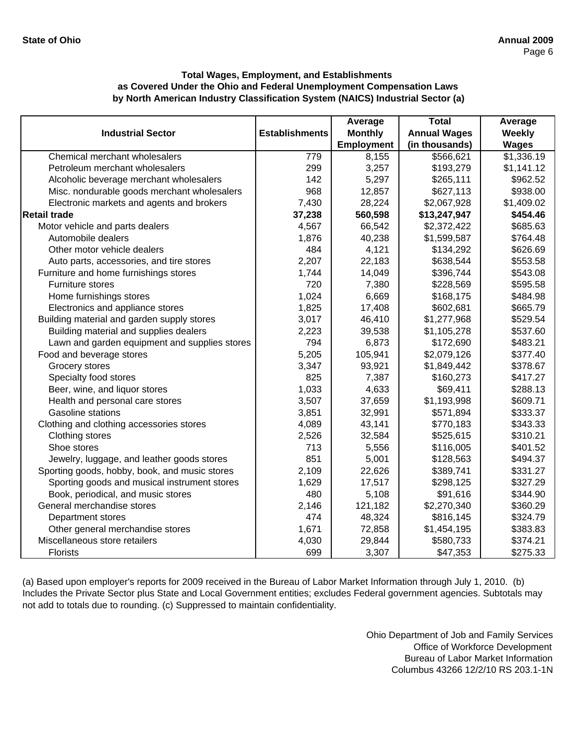|                                               |                       | Average           | <b>Total</b>        | Average      |
|-----------------------------------------------|-----------------------|-------------------|---------------------|--------------|
| <b>Industrial Sector</b>                      | <b>Establishments</b> | <b>Monthly</b>    | <b>Annual Wages</b> | Weekly       |
|                                               |                       | <b>Employment</b> | (in thousands)      | <b>Wages</b> |
| Chemical merchant wholesalers                 | 779                   | 8,155             | \$566,621           | \$1,336.19   |
| Petroleum merchant wholesalers                | 299                   | 3,257             | \$193,279           | \$1,141.12   |
| Alcoholic beverage merchant wholesalers       | 142                   | 5,297             | \$265,111           | \$962.52     |
| Misc. nondurable goods merchant wholesalers   | 968                   | 12,857            | \$627,113           | \$938.00     |
| Electronic markets and agents and brokers     | 7,430                 | 28,224            | \$2,067,928         | \$1,409.02   |
| <b>Retail trade</b>                           | 37,238                | 560,598           | \$13,247,947        | \$454.46     |
| Motor vehicle and parts dealers               | 4,567                 | 66,542            | \$2,372,422         | \$685.63     |
| Automobile dealers                            | 1,876                 | 40,238            | \$1,599,587         | \$764.48     |
| Other motor vehicle dealers                   | 484                   | 4,121             | \$134,292           | \$626.69     |
| Auto parts, accessories, and tire stores      | 2,207                 | 22,183            | \$638,544           | \$553.58     |
| Furniture and home furnishings stores         | 1,744                 | 14,049            | \$396,744           | \$543.08     |
| Furniture stores                              | 720                   | 7,380             | \$228,569           | \$595.58     |
| Home furnishings stores                       | 1,024                 | 6,669             | \$168,175           | \$484.98     |
| Electronics and appliance stores              | 1,825                 | 17,408            | \$602,681           | \$665.79     |
| Building material and garden supply stores    | 3,017                 | 46,410            | \$1,277,968         | \$529.54     |
| Building material and supplies dealers        | 2,223                 | 39,538            | \$1,105,278         | \$537.60     |
| Lawn and garden equipment and supplies stores | 794                   | 6,873             | \$172,690           | \$483.21     |
| Food and beverage stores                      | 5,205                 | 105,941           | \$2,079,126         | \$377.40     |
| Grocery stores                                | 3,347                 | 93,921            | \$1,849,442         | \$378.67     |
| Specialty food stores                         | 825                   | 7,387             | \$160,273           | \$417.27     |
| Beer, wine, and liquor stores                 | 1,033                 | 4,633             | \$69,411            | \$288.13     |
| Health and personal care stores               | 3,507                 | 37,659            | \$1,193,998         | \$609.71     |
| <b>Gasoline stations</b>                      | 3,851                 | 32,991            | \$571,894           | \$333.37     |
| Clothing and clothing accessories stores      | 4,089                 | 43,141            | \$770,183           | \$343.33     |
| Clothing stores                               | 2,526                 | 32,584            | \$525,615           | \$310.21     |
| Shoe stores                                   | 713                   | 5,556             | \$116,005           | \$401.52     |
| Jewelry, luggage, and leather goods stores    | 851                   | 5,001             | \$128,563           | \$494.37     |
| Sporting goods, hobby, book, and music stores | 2,109                 | 22,626            | \$389,741           | \$331.27     |
| Sporting goods and musical instrument stores  | 1,629                 | 17,517            | \$298,125           | \$327.29     |
| Book, periodical, and music stores            | 480                   | 5,108             | \$91,616            | \$344.90     |
| General merchandise stores                    | 2,146                 | 121,182           | \$2,270,340         | \$360.29     |
| Department stores                             | 474                   | 48,324            | \$816,145           | \$324.79     |
| Other general merchandise stores              | 1,671                 | 72,858            | \$1,454,195         | \$383.83     |
| Miscellaneous store retailers                 | 4,030                 | 29,844            | \$580,733           | \$374.21     |
| Florists                                      | 699                   | 3,307             | \$47,353            | \$275.33     |

(a) Based upon employer's reports for 2009 received in the Bureau of Labor Market Information through July 1, 2010. (b) Includes the Private Sector plus State and Local Government entities; excludes Federal government agencies. Subtotals may not add to totals due to rounding. (c) Suppressed to maintain confidentiality.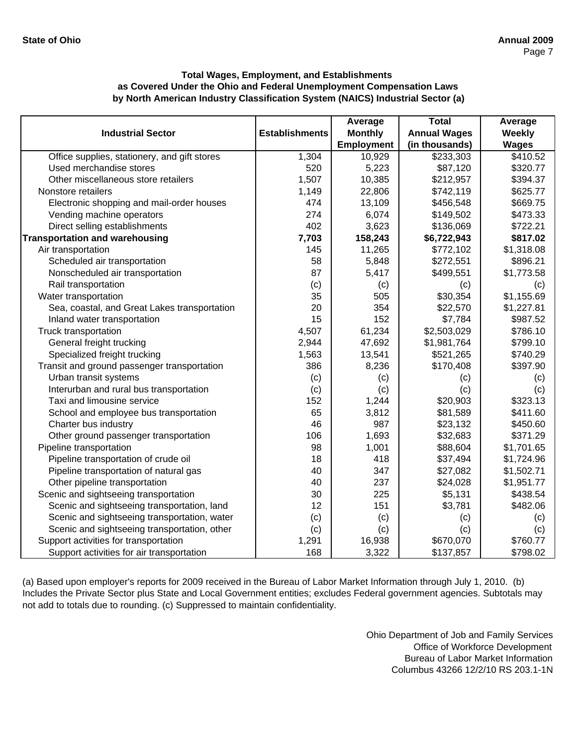|                                              |                       | Average           | <b>Total</b>        | Average       |
|----------------------------------------------|-----------------------|-------------------|---------------------|---------------|
| <b>Industrial Sector</b>                     | <b>Establishments</b> | <b>Monthly</b>    | <b>Annual Wages</b> | <b>Weekly</b> |
|                                              |                       | <b>Employment</b> | (in thousands)      | <b>Wages</b>  |
| Office supplies, stationery, and gift stores | 1,304                 | 10,929            | \$233,303           | \$410.52      |
| Used merchandise stores                      | 520                   | 5,223             | \$87,120            | \$320.77      |
| Other miscellaneous store retailers          | 1,507                 | 10,385            | \$212,957           | \$394.37      |
| Nonstore retailers                           | 1,149                 | 22,806            | \$742,119           | \$625.77      |
| Electronic shopping and mail-order houses    | 474                   | 13,109            | \$456,548           | \$669.75      |
| Vending machine operators                    | 274                   | 6,074             | \$149,502           | \$473.33      |
| Direct selling establishments                | 402                   | 3,623             | \$136,069           | \$722.21      |
| <b>Transportation and warehousing</b>        | 7,703                 | 158,243           | \$6,722,943         | \$817.02      |
| Air transportation                           | 145                   | 11,265            | \$772,102           | \$1,318.08    |
| Scheduled air transportation                 | 58                    | 5,848             | \$272,551           | \$896.21      |
| Nonscheduled air transportation              | 87                    | 5,417             | \$499,551           | \$1,773.58    |
| Rail transportation                          | (c)                   | (c)               | (c)                 | (c)           |
| Water transportation                         | 35                    | 505               | \$30,354            | \$1,155.69    |
| Sea, coastal, and Great Lakes transportation | 20                    | 354               | \$22,570            | \$1,227.81    |
| Inland water transportation                  | 15                    | 152               | \$7,784             | \$987.52      |
| Truck transportation                         | 4,507                 | 61,234            | \$2,503,029         | \$786.10      |
| General freight trucking                     | 2,944                 | 47,692            | \$1,981,764         | \$799.10      |
| Specialized freight trucking                 | 1,563                 | 13,541            | \$521,265           | \$740.29      |
| Transit and ground passenger transportation  | 386                   | 8,236             | \$170,408           | \$397.90      |
| Urban transit systems                        | (c)                   | (c)               | (c)                 | (c)           |
| Interurban and rural bus transportation      | (c)                   | (c)               | (c)                 | (c)           |
| Taxi and limousine service                   | 152                   | 1,244             | \$20,903            | \$323.13      |
| School and employee bus transportation       | 65                    | 3,812             | \$81,589            | \$411.60      |
| Charter bus industry                         | 46                    | 987               | \$23,132            | \$450.60      |
| Other ground passenger transportation        | 106                   | 1,693             | \$32,683            | \$371.29      |
| Pipeline transportation                      | 98                    | 1,001             | \$88,604            | \$1,701.65    |
| Pipeline transportation of crude oil         | 18                    | 418               | \$37,494            | \$1,724.96    |
| Pipeline transportation of natural gas       | 40                    | 347               | \$27,082            | \$1,502.71    |
| Other pipeline transportation                | 40                    | 237               | \$24,028            | \$1,951.77    |
| Scenic and sightseeing transportation        | 30                    | 225               | \$5,131             | \$438.54      |
| Scenic and sightseeing transportation, land  | 12                    | 151               | \$3,781             | \$482.06      |
| Scenic and sightseeing transportation, water | (c)                   | (c)               | (c)                 | (c)           |
| Scenic and sightseeing transportation, other | (c)                   | (c)               | (c)                 | (c)           |
| Support activities for transportation        | 1,291                 | 16,938            | \$670,070           | \$760.77      |
| Support activities for air transportation    | 168                   | 3,322             | \$137,857           | \$798.02      |

(a) Based upon employer's reports for 2009 received in the Bureau of Labor Market Information through July 1, 2010. (b) Includes the Private Sector plus State and Local Government entities; excludes Federal government agencies. Subtotals may not add to totals due to rounding. (c) Suppressed to maintain confidentiality.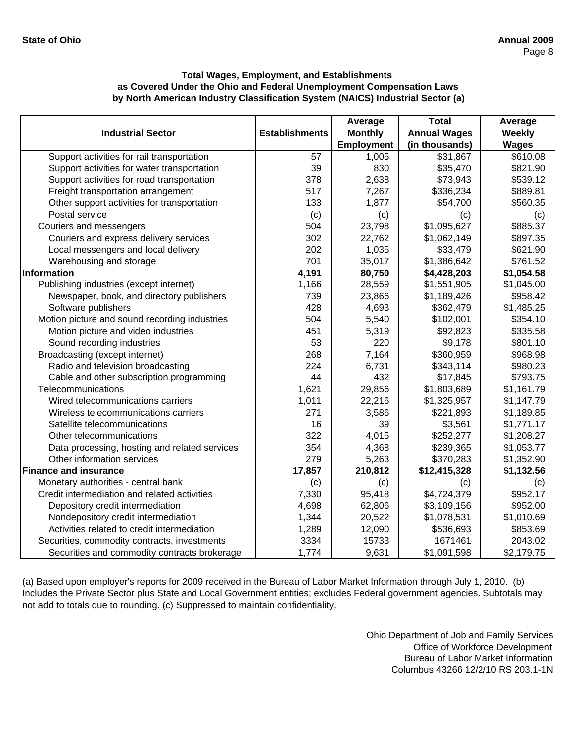|                                               |                       | Average           | <b>Total</b>        | Average      |
|-----------------------------------------------|-----------------------|-------------------|---------------------|--------------|
| <b>Industrial Sector</b>                      | <b>Establishments</b> | <b>Monthly</b>    | <b>Annual Wages</b> | Weekly       |
|                                               |                       | <b>Employment</b> | (in thousands)      | <b>Wages</b> |
| Support activities for rail transportation    | 57                    | 1,005             | \$31,867            | \$610.08     |
| Support activities for water transportation   | 39                    | 830               | \$35,470            | \$821.90     |
| Support activities for road transportation    | 378                   | 2,638             | \$73,943            | \$539.12     |
| Freight transportation arrangement            | 517                   | 7,267             | \$336,234           | \$889.81     |
| Other support activities for transportation   | 133                   | 1,877             | \$54,700            | \$560.35     |
| Postal service                                | (c)                   | (c)               | (c)                 | (c)          |
| Couriers and messengers                       | 504                   | 23,798            | \$1,095,627         | \$885.37     |
| Couriers and express delivery services        | 302                   | 22,762            | \$1,062,149         | \$897.35     |
| Local messengers and local delivery           | 202                   | 1,035             | \$33,479            | \$621.90     |
| Warehousing and storage                       | 701                   | 35,017            | \$1,386,642         | \$761.52     |
| Information                                   | 4,191                 | 80,750            | \$4,428,203         | \$1,054.58   |
| Publishing industries (except internet)       | 1,166                 | 28,559            | \$1,551,905         | \$1,045.00   |
| Newspaper, book, and directory publishers     | 739                   | 23,866            | \$1,189,426         | \$958.42     |
| Software publishers                           | 428                   | 4,693             | \$362,479           | \$1,485.25   |
| Motion picture and sound recording industries | 504                   | 5,540             | \$102,001           | \$354.10     |
| Motion picture and video industries           | 451                   | 5,319             | \$92,823            | \$335.58     |
| Sound recording industries                    | 53                    | 220               | \$9,178             | \$801.10     |
| Broadcasting (except internet)                | 268                   | 7,164             | \$360,959           | \$968.98     |
| Radio and television broadcasting             | 224                   | 6,731             | \$343,114           | \$980.23     |
| Cable and other subscription programming      | 44                    | 432               | \$17,845            | \$793.75     |
| Telecommunications                            | 1,621                 | 29,856            | \$1,803,689         | \$1,161.79   |
| Wired telecommunications carriers             | 1,011                 | 22,216            | \$1,325,957         | \$1,147.79   |
| Wireless telecommunications carriers          | 271                   | 3,586             | \$221,893           | \$1,189.85   |
| Satellite telecommunications                  | 16                    | 39                | \$3,561             | \$1,771.17   |
| Other telecommunications                      | 322                   | 4,015             | \$252,277           | \$1,208.27   |
| Data processing, hosting and related services | 354                   | 4,368             | \$239,365           | \$1,053.77   |
| Other information services                    | 279                   | 5,263             | \$370,283           | \$1,352.90   |
| <b>Finance and insurance</b>                  | 17,857                | 210,812           | \$12,415,328        | \$1,132.56   |
| Monetary authorities - central bank           | (c)                   | (c)               | (c)                 | (c)          |
| Credit intermediation and related activities  | 7,330                 | 95,418            | \$4,724,379         | \$952.17     |
| Depository credit intermediation              | 4,698                 | 62,806            | \$3,109,156         | \$952.00     |
| Nondepository credit intermediation           | 1,344                 | 20,522            | \$1,078,531         | \$1,010.69   |
| Activities related to credit intermediation   | 1,289                 | 12,090            | \$536,693           | \$853.69     |
| Securities, commodity contracts, investments  | 3334                  | 15733             | 1671461             | 2043.02      |
| Securities and commodity contracts brokerage  | 1,774                 | 9,631             | \$1,091,598         | \$2,179.75   |

(a) Based upon employer's reports for 2009 received in the Bureau of Labor Market Information through July 1, 2010. (b) Includes the Private Sector plus State and Local Government entities; excludes Federal government agencies. Subtotals may not add to totals due to rounding. (c) Suppressed to maintain confidentiality.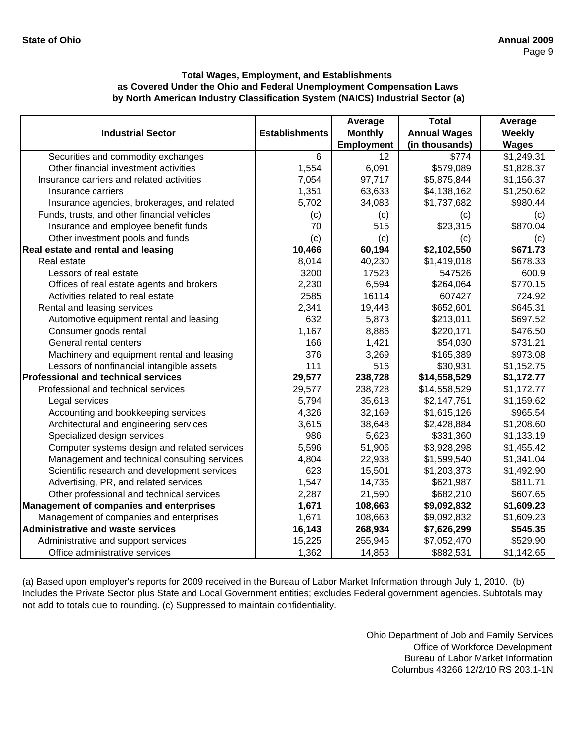|                                                |                       | Average           | <b>Total</b>        | Average      |
|------------------------------------------------|-----------------------|-------------------|---------------------|--------------|
| <b>Industrial Sector</b>                       | <b>Establishments</b> | <b>Monthly</b>    | <b>Annual Wages</b> | Weekly       |
|                                                |                       | <b>Employment</b> | (in thousands)      | <b>Wages</b> |
| Securities and commodity exchanges             | 6                     | 12                | \$774               | \$1,249.31   |
| Other financial investment activities          | 1,554                 | 6,091             | \$579,089           | \$1,828.37   |
| Insurance carriers and related activities      | 7,054                 | 97,717            | \$5,875,844         | \$1,156.37   |
| Insurance carriers                             | 1,351                 | 63,633            | \$4,138,162         | \$1,250.62   |
| Insurance agencies, brokerages, and related    | 5,702                 | 34,083            | \$1,737,682         | \$980.44     |
| Funds, trusts, and other financial vehicles    | (c)                   | (c)               | (c)                 | (c)          |
| Insurance and employee benefit funds           | 70                    | 515               | \$23,315            | \$870.04     |
| Other investment pools and funds               | (c)                   | (c)               | (c)                 | (c)          |
| Real estate and rental and leasing             | 10,466                | 60,194            | \$2,102,550         | \$671.73     |
| Real estate                                    | 8,014                 | 40,230            | \$1,419,018         | \$678.33     |
| Lessors of real estate                         | 3200                  | 17523             | 547526              | 600.9        |
| Offices of real estate agents and brokers      | 2,230                 | 6,594             | \$264,064           | \$770.15     |
| Activities related to real estate              | 2585                  | 16114             | 607427              | 724.92       |
| Rental and leasing services                    | 2,341                 | 19,448            | \$652,601           | \$645.31     |
| Automotive equipment rental and leasing        | 632                   | 5,873             | \$213,011           | \$697.52     |
| Consumer goods rental                          | 1,167                 | 8,886             | \$220,171           | \$476.50     |
| General rental centers                         | 166                   | 1,421             | \$54,030            | \$731.21     |
| Machinery and equipment rental and leasing     | 376                   | 3,269             | \$165,389           | \$973.08     |
| Lessors of nonfinancial intangible assets      | 111                   | 516               | \$30,931            | \$1,152.75   |
| <b>Professional and technical services</b>     | 29,577                | 238,728           | \$14,558,529        | \$1,172.77   |
| Professional and technical services            | 29,577                | 238,728           | \$14,558,529        | \$1,172.77   |
| Legal services                                 | 5,794                 | 35,618            | \$2,147,751         | \$1,159.62   |
| Accounting and bookkeeping services            | 4,326                 | 32,169            | \$1,615,126         | \$965.54     |
| Architectural and engineering services         | 3,615                 | 38,648            | \$2,428,884         | \$1,208.60   |
| Specialized design services                    | 986                   | 5,623             | \$331,360           | \$1,133.19   |
| Computer systems design and related services   | 5,596                 | 51,906            | \$3,928,298         | \$1,455.42   |
| Management and technical consulting services   | 4,804                 | 22,938            | \$1,599,540         | \$1,341.04   |
| Scientific research and development services   | 623                   | 15,501            | \$1,203,373         | \$1,492.90   |
| Advertising, PR, and related services          | 1,547                 | 14,736            | \$621,987           | \$811.71     |
| Other professional and technical services      | 2,287                 | 21,590            | \$682,210           | \$607.65     |
| <b>Management of companies and enterprises</b> | 1,671                 | 108,663           | \$9,092,832         | \$1,609.23   |
| Management of companies and enterprises        | 1,671                 | 108,663           | \$9,092,832         | \$1,609.23   |
| <b>Administrative and waste services</b>       | 16,143                | 268,934           | \$7,626,299         | \$545.35     |
| Administrative and support services            | 15,225                | 255,945           | \$7,052,470         | \$529.90     |
| Office administrative services                 | 1,362                 | 14,853            | \$882,531           | \$1,142.65   |

(a) Based upon employer's reports for 2009 received in the Bureau of Labor Market Information through July 1, 2010. (b) Includes the Private Sector plus State and Local Government entities; excludes Federal government agencies. Subtotals may not add to totals due to rounding. (c) Suppressed to maintain confidentiality.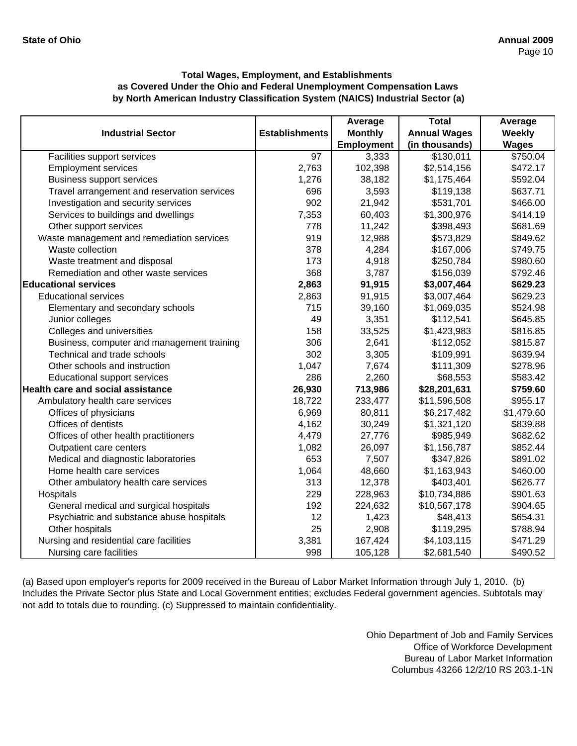|                                             |                       | Average           | <b>Total</b>        | Average      |
|---------------------------------------------|-----------------------|-------------------|---------------------|--------------|
| <b>Industrial Sector</b>                    | <b>Establishments</b> | <b>Monthly</b>    | <b>Annual Wages</b> | Weekly       |
|                                             |                       | <b>Employment</b> | (in thousands)      | <b>Wages</b> |
| Facilities support services                 | $\overline{97}$       | 3,333             | \$130,011           | \$750.04     |
| <b>Employment services</b>                  | 2,763                 | 102,398           | \$2,514,156         | \$472.17     |
| <b>Business support services</b>            | 1,276                 | 38,182            | \$1,175,464         | \$592.04     |
| Travel arrangement and reservation services | 696                   | 3,593             | \$119,138           | \$637.71     |
| Investigation and security services         | 902                   | 21,942            | \$531,701           | \$466.00     |
| Services to buildings and dwellings         | 7,353                 | 60,403            | \$1,300,976         | \$414.19     |
| Other support services                      | 778                   | 11,242            | \$398,493           | \$681.69     |
| Waste management and remediation services   | 919                   | 12,988            | \$573,829           | \$849.62     |
| Waste collection                            | 378                   | 4,284             | \$167,006           | \$749.75     |
| Waste treatment and disposal                | 173                   | 4,918             | \$250,784           | \$980.60     |
| Remediation and other waste services        | 368                   | 3,787             | \$156,039           | \$792.46     |
| <b>Educational services</b>                 | 2,863                 | 91,915            | \$3,007,464         | \$629.23     |
| <b>Educational services</b>                 | 2,863                 | 91,915            | \$3,007,464         | \$629.23     |
| Elementary and secondary schools            | 715                   | 39,160            | \$1,069,035         | \$524.98     |
| Junior colleges                             | 49                    | 3,351             | \$112,541           | \$645.85     |
| Colleges and universities                   | 158                   | 33,525            | \$1,423,983         | \$816.85     |
| Business, computer and management training  | 306                   | 2,641             | \$112,052           | \$815.87     |
| Technical and trade schools                 | 302                   | 3,305             | \$109,991           | \$639.94     |
| Other schools and instruction               | 1,047                 | 7,674             | \$111,309           | \$278.96     |
| Educational support services                | 286                   | 2,260             | \$68,553            | \$583.42     |
| <b>Health care and social assistance</b>    | 26,930                | 713,986           | \$28,201,631        | \$759.60     |
| Ambulatory health care services             | 18,722                | 233,477           | \$11,596,508        | \$955.17     |
| Offices of physicians                       | 6,969                 | 80,811            | \$6,217,482         | \$1,479.60   |
| Offices of dentists                         | 4,162                 | 30,249            | \$1,321,120         | \$839.88     |
| Offices of other health practitioners       | 4,479                 | 27,776            | \$985,949           | \$682.62     |
| Outpatient care centers                     | 1,082                 | 26,097            | \$1,156,787         | \$852.44     |
| Medical and diagnostic laboratories         | 653                   | 7,507             | \$347,826           | \$891.02     |
| Home health care services                   | 1,064                 | 48,660            | \$1,163,943         | \$460.00     |
| Other ambulatory health care services       | 313                   | 12,378            | \$403,401           | \$626.77     |
| Hospitals                                   | 229                   | 228,963           | \$10,734,886        | \$901.63     |
| General medical and surgical hospitals      | 192                   | 224,632           | \$10,567,178        | \$904.65     |
| Psychiatric and substance abuse hospitals   | 12                    | 1,423             | \$48,413            | \$654.31     |
| Other hospitals                             | 25                    | 2,908             | \$119,295           | \$788.94     |
| Nursing and residential care facilities     | 3,381                 | 167,424           | \$4,103,115         | \$471.29     |
| Nursing care facilities                     | 998                   | 105,128           | \$2,681,540         | \$490.52     |

(a) Based upon employer's reports for 2009 received in the Bureau of Labor Market Information through July 1, 2010. (b) Includes the Private Sector plus State and Local Government entities; excludes Federal government agencies. Subtotals may not add to totals due to rounding. (c) Suppressed to maintain confidentiality.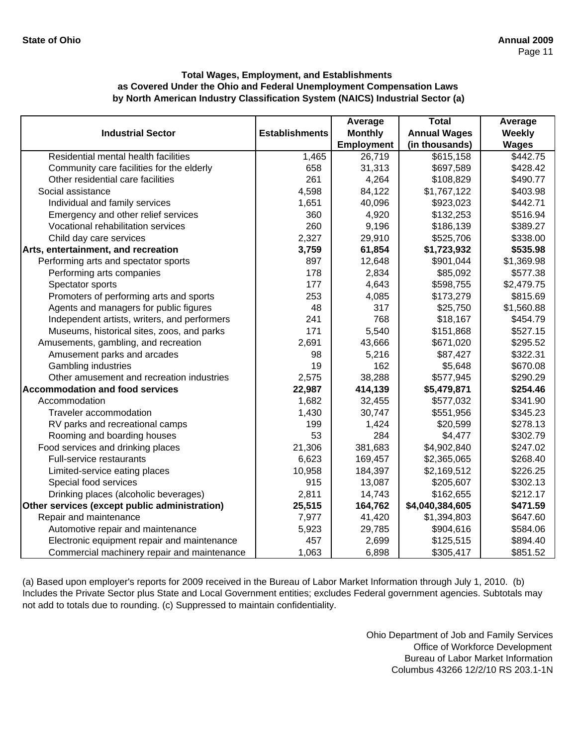|                                               |                       | Average        | <b>Total</b>        | Average      |
|-----------------------------------------------|-----------------------|----------------|---------------------|--------------|
| <b>Industrial Sector</b>                      | <b>Establishments</b> | <b>Monthly</b> | <b>Annual Wages</b> | Weekly       |
|                                               |                       | Employment     | (in thousands)      | <b>Wages</b> |
| Residential mental health facilities          | 1,465                 | 26,719         | \$615,158           | \$442.75     |
| Community care facilities for the elderly     | 658                   | 31,313         | \$697,589           | \$428.42     |
| Other residential care facilities             | 261                   | 4,264          | \$108,829           | \$490.77     |
| Social assistance                             | 4,598                 | 84,122         | \$1,767,122         | \$403.98     |
| Individual and family services                | 1,651                 | 40,096         | \$923,023           | \$442.71     |
| Emergency and other relief services           | 360                   | 4,920          | \$132,253           | \$516.94     |
| Vocational rehabilitation services            | 260                   | 9,196          | \$186,139           | \$389.27     |
| Child day care services                       | 2,327                 | 29,910         | \$525,706           | \$338.00     |
| Arts, entertainment, and recreation           | 3,759                 | 61,854         | \$1,723,932         | \$535.98     |
| Performing arts and spectator sports          | 897                   | 12,648         | \$901,044           | \$1,369.98   |
| Performing arts companies                     | 178                   | 2,834          | \$85,092            | \$577.38     |
| Spectator sports                              | 177                   | 4,643          | \$598,755           | \$2,479.75   |
| Promoters of performing arts and sports       | 253                   | 4,085          | \$173,279           | \$815.69     |
| Agents and managers for public figures        | 48                    | 317            | \$25,750            | \$1,560.88   |
| Independent artists, writers, and performers  | 241                   | 768            | \$18,167            | \$454.79     |
| Museums, historical sites, zoos, and parks    | 171                   | 5,540          | \$151,868           | \$527.15     |
| Amusements, gambling, and recreation          | 2,691                 | 43,666         | \$671,020           | \$295.52     |
| Amusement parks and arcades                   | 98                    | 5,216          | \$87,427            | \$322.31     |
| Gambling industries                           | 19                    | 162            | \$5,648             | \$670.08     |
| Other amusement and recreation industries     | 2,575                 | 38,288         | \$577,945           | \$290.29     |
| <b>Accommodation and food services</b>        | 22,987                | 414,139        | \$5,479,871         | \$254.46     |
| Accommodation                                 | 1,682                 | 32,455         | \$577,032           | \$341.90     |
| Traveler accommodation                        | 1,430                 | 30,747         | \$551,956           | \$345.23     |
| RV parks and recreational camps               | 199                   | 1,424          | \$20,599            | \$278.13     |
| Rooming and boarding houses                   | 53                    | 284            | \$4,477             | \$302.79     |
| Food services and drinking places             | 21,306                | 381,683        | \$4,902,840         | \$247.02     |
| Full-service restaurants                      | 6,623                 | 169,457        | \$2,365,065         | \$268.40     |
| Limited-service eating places                 | 10,958                | 184,397        | \$2,169,512         | \$226.25     |
| Special food services                         | 915                   | 13,087         | \$205,607           | \$302.13     |
| Drinking places (alcoholic beverages)         | 2,811                 | 14,743         | \$162,655           | \$212.17     |
| Other services (except public administration) | 25,515                | 164,762        | \$4,040,384,605     | \$471.59     |
| Repair and maintenance                        | 7,977                 | 41,420         | \$1,394,803         | \$647.60     |
| Automotive repair and maintenance             | 5,923                 | 29,785         | \$904,616           | \$584.06     |
| Electronic equipment repair and maintenance   | 457                   | 2,699          | \$125,515           | \$894.40     |
| Commercial machinery repair and maintenance   | 1,063                 | 6,898          | \$305,417           | \$851.52     |

(a) Based upon employer's reports for 2009 received in the Bureau of Labor Market Information through July 1, 2010. (b) Includes the Private Sector plus State and Local Government entities; excludes Federal government agencies. Subtotals may not add to totals due to rounding. (c) Suppressed to maintain confidentiality.